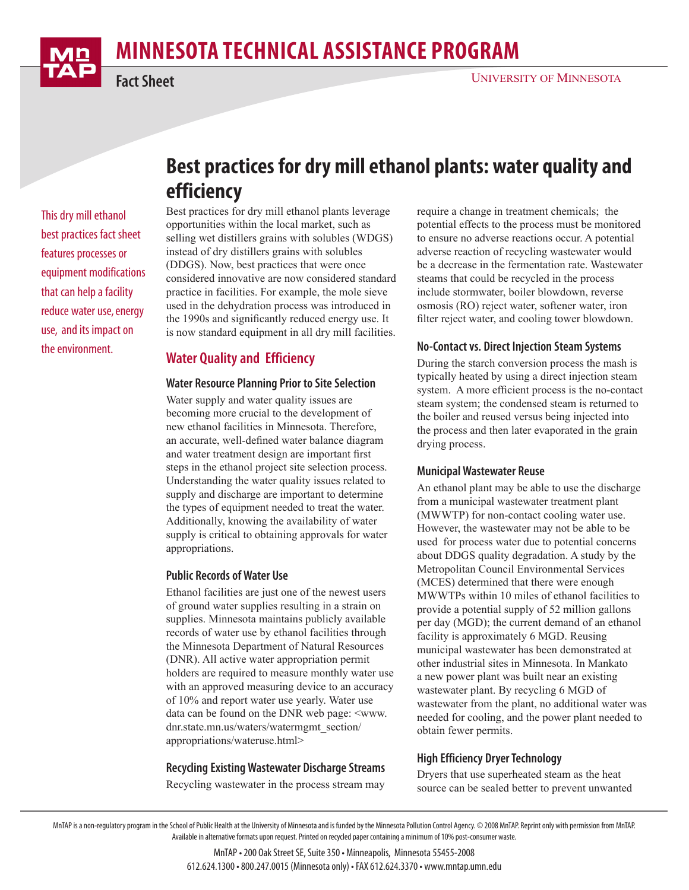# **MINNESOTA TECHNICAL ASSISTANCE PROGRAM**



## **Fact Sheet**

## **Best practices for dry mill ethanol plants: water quality and efficiency**

This dry mill ethanol best practices fact sheet features processes or equipment modifications that can help a facility reduce water use, energy use, and its impact on the environment.

Best practices for dry mill ethanol plants leverage opportunities within the local market, such as selling wet distillers grains with solubles (WDGS) instead of dry distillers grains with solubles (DDGS). Now, best practices that were once considered innovative are now considered standard practice in facilities. For example, the mole sieve used in the dehydration process was introduced in the 1990s and significantly reduced energy use. It is now standard equipment in all dry mill facilities.

## **Water Quality and Efficiency**

#### **Water Resource Planning Prior to Site Selection**

Water supply and water quality issues are becoming more crucial to the development of new ethanol facilities in Minnesota. Therefore, an accurate, well-defined water balance diagram and water treatment design are important first steps in the ethanol project site selection process. Understanding the water quality issues related to supply and discharge are important to determine the types of equipment needed to treat the water. Additionally, knowing the availability of water supply is critical to obtaining approvals for water appropriations.

#### **Public Records of Water Use**

Ethanol facilities are just one of the newest users of ground water supplies resulting in a strain on supplies. Minnesota maintains publicly available records of water use by ethanol facilities through the Minnesota Department of Natural Resources (DNR). All active water appropriation permit holders are required to measure monthly water use with an approved measuring device to an accuracy of 10% and report water use yearly. Water use data can be found on the DNR web page: <www. dnr.state.mn.us/waters/watermgmt\_section/ appropriations/wateruse.html>

#### **Recycling Existing Wastewater Discharge Streams**

Recycling wastewater in the process stream may

require a change in treatment chemicals; the potential effects to the process must be monitored to ensure no adverse reactions occur. A potential adverse reaction of recycling wastewater would be a decrease in the fermentation rate. Wastewater steams that could be recycled in the process include stormwater, boiler blowdown, reverse osmosis (RO) reject water, softener water, iron filter reject water, and cooling tower blowdown.

#### **No-Contact vs. Direct Injection Steam Systems**

During the starch conversion process the mash is typically heated by using a direct injection steam system. A more efficient process is the no-contact steam system; the condensed steam is returned to the boiler and reused versus being injected into the process and then later evaporated in the grain drying process.

#### **Municipal Wastewater Reuse**

An ethanol plant may be able to use the discharge from a municipal wastewater treatment plant (MWWTP) for non-contact cooling water use. However, the wastewater may not be able to be used for process water due to potential concerns about DDGS quality degradation. A study by the Metropolitan Council Environmental Services (MCES) determined that there were enough MWWTPs within 10 miles of ethanol facilities to provide a potential supply of 52 million gallons per day (MGD); the current demand of an ethanol facility is approximately 6 MGD. Reusing municipal wastewater has been demonstrated at other industrial sites in Minnesota. In Mankato a new power plant was built near an existing wastewater plant. By recycling 6 MGD of wastewater from the plant, no additional water was needed for cooling, and the power plant needed to obtain fewer permits.

#### **High Efficiency Dryer Technology**

Dryers that use superheated steam as the heat source can be sealed better to prevent unwanted

MnTAP • 200 Oak Street SE, Suite 350 • Minneapolis, Minnesota 55455-2008 612.624.1300 • 800.247.0015 (Minnesota only) • FAX 612.624.3370 • [www.mntap.umn.edu](http://www.mntap.umn.edu)

MnTAP is a non-regulatory program in the School of Public Health at the University of Minnesota and is funded by the Minnesota Pollution Control Agency. © 2008 MnTAP. Reprint only with permission from MnTAP. Available in alternative formats upon request. Printed on recycled paper containing a minimum of 10% post-consumer waste.